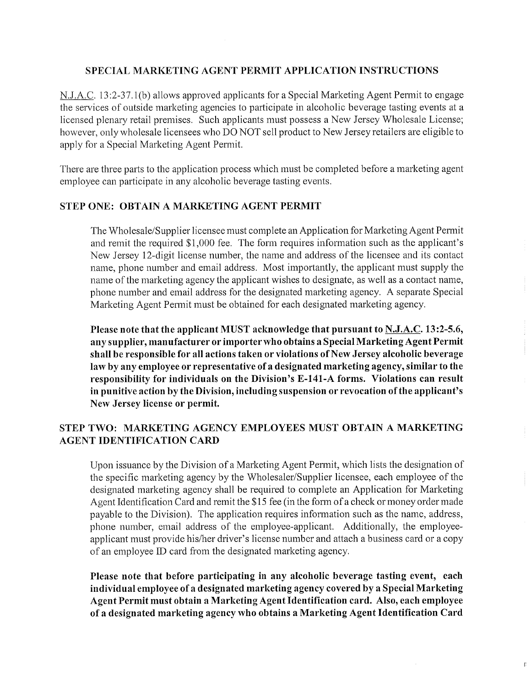### **SPECIAL MARKETING AGENT PERMIT APPLICATION INSTRUCTIONS**

N.J.A.C. 13:2-37.1(b) allows approved applicants for a Special Marketing Agent Permit to engage the services of outside marketing agencies to participate in alcoholic beverage tasting events at a licensed plenary retail premises. Such applicants must possess a New Jersey Wholesale License; however, only wholesale licensees who DO NOT sell product to New Jersey retailers are eligible to apply for a Special Marketing Agent Permit.

There are three parts to the application process which must be completed before a marketing agent employee can participate in any alcoholic beverage tasting events.

#### **STEP ONE: OBTAIN A MARKETING AGENT PERMIT**

The Wholesale/Supplier licensee must complete an Application for Marketing Agent Permit and remit the required \$1,000 fee. The form requires information such as the applicant's New Jersey 12-digit license number, the name and address of the licensee and its contact name, phone number and email address. Most importantly, the applicant must supply the name of the marketing agency the applicant wishes to designate, as well as a contact name, phone number and email address for the designated marketing agency. A separate Special Marketing Agent Permit must be obtained for each designated marketing agency.

**Please note that the applicant MUST acknowledge that pursuant to N.J.A.C. 13:2-5.6, any supplier, manufacturer or importer who obtains a Special Marketing Agent Permit shall be responsible for all actions taken or violations of New Jersey alcoholic beverage law by any employee or representative of a designated marketing agency, similar to the responsibility for individuals on the Division's E-141-A forms. Violations can result in punitive action by the Division, including suspension or revocation of the applicant's New Jersey license or permit.** 

## **STEP TWO: MARKETING AGENCY EMPLOYEES MUST OBTAIN A MARKETING AGENT IDENTIFICATION CARD**

Upon issuance by the Division of a Marketing Agent Permit, which lists the designation of the specific marketing agency by the Wholesaler/Supplier licensee, each employee of the designated marketing agency shall be required to complete an Application for Marketing Agent Identification Card and remit the *\$15* fee (in the form of a check or money order made payable to the Division). The application requires information such as the name, address, phone number, email address of the employee-applicant. Additionally, the employeeapplicant must provide his/her driver's license number and attach a business card or a copy of an employee ID card from the designated marketing agency.

**Please note that before participating in any alcoholic beverage tasting event, each individual employee of a designated marketing agency covered by a Special Marketing Agent Permit must obtain a Marketing Agent Identification card. Also, each employee of a designated marketing agency who obtains a Marketing Agent Identification Card** 

 $\overline{\mathbb{R}}$